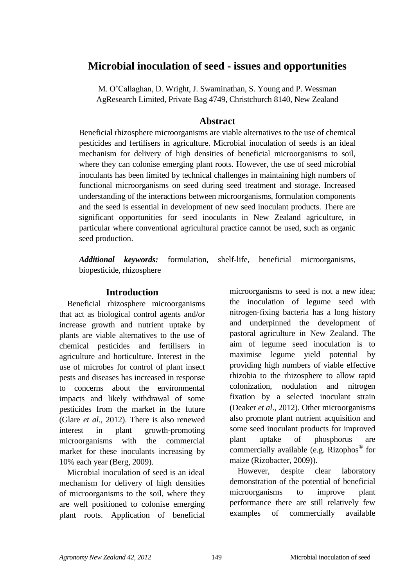# **Microbial inoculation of seed - issues and opportunities**

M. O"Callaghan, D. Wright, J. Swaminathan, S. Young and P. Wessman AgResearch Limited, Private Bag 4749, Christchurch 8140, New Zealand

# **Abstract**

Beneficial rhizosphere microorganisms are viable alternatives to the use of chemical pesticides and fertilisers in agriculture. Microbial inoculation of seeds is an ideal mechanism for delivery of high densities of beneficial microorganisms to soil, where they can colonise emerging plant roots. However, the use of seed microbial inoculants has been limited by technical challenges in maintaining high numbers of functional microorganisms on seed during seed treatment and storage. Increased understanding of the interactions between microorganisms, formulation components and the seed is essential in development of new seed inoculant products. There are significant opportunities for seed inoculants in New Zealand agriculture, in particular where conventional agricultural practice cannot be used, such as organic seed production.

*Additional keywords:* formulation, shelf-life, beneficial microorganisms, biopesticide, rhizosphere

### **Introduction**

Beneficial rhizosphere microorganisms that act as biological control agents and/or increase growth and nutrient uptake by plants are viable alternatives to the use of chemical pesticides and fertilisers in agriculture and horticulture. Interest in the use of microbes for control of plant insect pests and diseases has increased in response to concerns about the environmental impacts and likely withdrawal of some pesticides from the market in the future (Glare *et al*., 2012). There is also renewed interest in plant growth-promoting microorganisms with the commercial market for these inoculants increasing by 10% each year (Berg, 2009).

Microbial inoculation of seed is an ideal mechanism for delivery of high densities of microorganisms to the soil, where they are well positioned to colonise emerging plant roots. Application of beneficial microorganisms to seed is not a new idea; the inoculation of legume seed with nitrogen-fixing bacteria has a long history and underpinned the development of pastoral agriculture in New Zealand. The aim of legume seed inoculation is to maximise legume yield potential by providing high numbers of viable effective rhizobia to the rhizosphere to allow rapid colonization, nodulation and nitrogen fixation by a selected inoculant strain (Deaker *et al*., 2012). Other microorganisms also promote plant nutrient acquisition and some seed inoculant products for improved plant uptake of phosphorus are commercially available (e.g. Rizophos® for maize (Rizobacter, 2009)).

However, despite clear laboratory demonstration of the potential of beneficial microorganisms to improve plant performance there are still relatively few examples of commercially available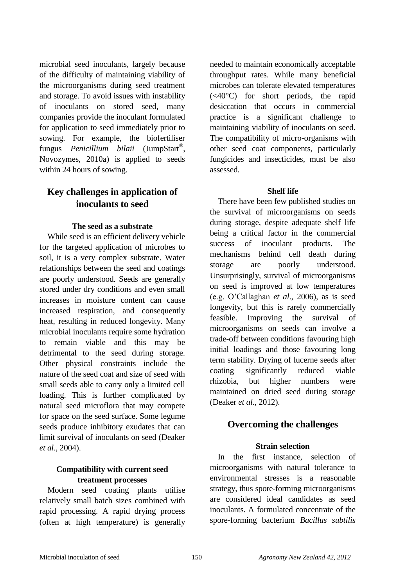microbial seed inoculants, largely because of the difficulty of maintaining viability of the microorganisms during seed treatment and storage. To avoid issues with instability of inoculants on stored seed, many companies provide the inoculant formulated for application to seed immediately prior to sowing. For example, the biofertiliser fungus *Penicillium bilaii* (JumpStart® , Novozymes, 2010a) is applied to seeds within 24 hours of sowing.

# **Key challenges in application of inoculants to seed**

#### **The seed as a substrate**

While seed is an efficient delivery vehicle for the targeted application of microbes to soil, it is a very complex substrate. Water relationships between the seed and coatings are poorly understood. Seeds are generally stored under dry conditions and even small increases in moisture content can cause increased respiration, and consequently heat, resulting in reduced longevity. Many microbial inoculants require some hydration to remain viable and this may be detrimental to the seed during storage. Other physical constraints include the nature of the seed coat and size of seed with small seeds able to carry only a limited cell loading. This is further complicated by natural seed microflora that may compete for space on the seed surface. Some legume seeds produce inhibitory exudates that can limit survival of inoculants on seed (Deaker *et al*., 2004).

### **Compatibility with current seed treatment processes**

Modern seed coating plants utilise relatively small batch sizes combined with rapid processing. A rapid drying process (often at high temperature) is generally needed to maintain economically acceptable throughput rates. While many beneficial microbes can tolerate elevated temperatures (<40°C) for short periods, the rapid desiccation that occurs in commercial practice is a significant challenge to maintaining viability of inoculants on seed. The compatibility of micro-organisms with other seed coat components, particularly fungicides and insecticides, must be also assessed.

#### **Shelf life**

There have been few published studies on the survival of microorganisms on seeds during storage, despite adequate shelf life being a critical factor in the commercial success of inoculant products. The mechanisms behind cell death during storage are poorly understood. Unsurprisingly, survival of microorganisms on seed is improved at low temperatures (e.g. O"Callaghan *et al*., 2006), as is seed longevity, but this is rarely commercially feasible. Improving the survival of microorganisms on seeds can involve a trade-off between conditions favouring high initial loadings and those favouring long term stability. Drying of lucerne seeds after coating significantly reduced viable rhizobia, but higher numbers were maintained on dried seed during storage (Deaker *et al*., 2012).

# **Overcoming the challenges**

#### **Strain selection**

In the first instance, selection of microorganisms with natural tolerance to environmental stresses is a reasonable strategy, thus spore-forming microorganisms are considered ideal candidates as seed inoculants. A formulated concentrate of the spore-forming bacterium *Bacillus subtilis*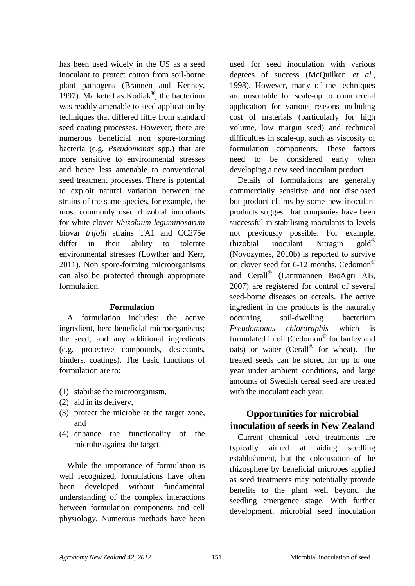has been used widely in the US as a seed inoculant to protect cotton from soil-borne plant pathogens (Brannen and Kenney, 1997). Marketed as Kodiak® , the bacterium was readily amenable to seed application by techniques that differed little from standard seed coating processes. However, there are numerous beneficial non spore-forming bacteria (e.g. *P*s*eudomonas* spp.) that are more sensitive to environmental stresses and hence less amenable to conventional seed treatment processes. There is potential to exploit natural variation between the strains of the same species, for example, the most commonly used rhizobial inoculants for white clover *Rhizobium leguminosarum* biovar *trifolii* strains TA1 and CC275e differ in their ability to tolerate environmental stresses (Lowther and Kerr, 2011). Non spore-forming microorganisms can also be protected through appropriate formulation.

#### **Formulation**

A formulation includes: the active ingredient, here beneficial microorganisms; the seed; and any additional ingredients (e.g. protective compounds, desiccants, binders, coatings). The basic functions of formulation are to:

- (1) stabilise the microorganism,
- (2) aid in its delivery,
- (3) protect the microbe at the target zone, and
- (4) enhance the functionality of the microbe against the target.

While the importance of formulation is well recognized, formulations have often been developed without fundamental understanding of the complex interactions between formulation components and cell physiology. Numerous methods have been used for seed inoculation with various degrees of success (McQuilken *et al*., 1998). However, many of the techniques are unsuitable for scale-up to commercial application for various reasons including cost of materials (particularly for high volume, low margin seed) and technical difficulties in scale-up, such as viscosity of formulation components. These factors need to be considered early when developing a new seed inoculant product.

Details of formulations are generally commercially sensitive and not disclosed but product claims by some new inoculant products suggest that companies have been successful in stabilising inoculants to levels not previously possible. For example, rhizobial inoculant Nitragin gold® (Novozymes, 2010b) is reported to survive on clover seed for 6-12 months. Cedomon® and Cerall® (Lantmännen BioAgri AB, 2007) are registered for control of several seed-borne diseases on cereals. The active ingredient in the products is the naturally occurring soil-dwelling bacterium *Pseudomonas chlororaphis* which is formulated in oil (Cedomon® for barley and oats) or water (Cerall® for wheat). The treated seeds can be stored for up to one year under ambient conditions, and large amounts of Swedish cereal seed are treated with the inoculant each year.

# **Opportunities for microbial inoculation of seeds in New Zealand**

Current chemical seed treatments are typically aimed at aiding seedling establishment, but the colonisation of the rhizosphere by beneficial microbes applied as seed treatments may potentially provide benefits to the plant well beyond the seedling emergence stage. With further development, microbial seed inoculation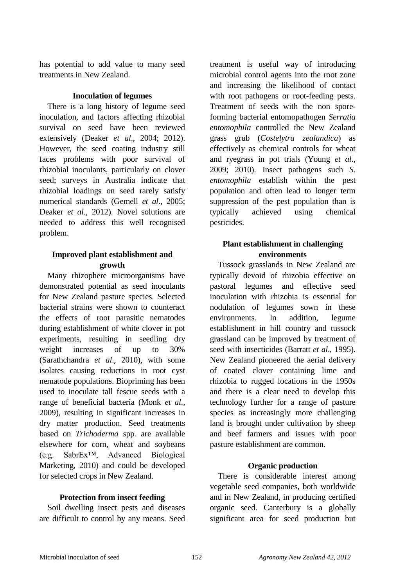has potential to add value to many seed treatments in New Zealand.

#### **Inoculation of legumes**

There is a long history of legume seed inoculation, and factors affecting rhizobial survival on seed have been reviewed extensively (Deaker *et al*., 2004; 2012). However, the seed coating industry still faces problems with poor survival of rhizobial inoculants, particularly on clover seed; surveys in Australia indicate that rhizobial loadings on seed rarely satisfy numerical standards (Gemell *et al*., 2005; Deaker *et al*., 2012). Novel solutions are needed to address this well recognised problem.

### **Improved plant establishment and growth**

Many rhizophere microorganisms have demonstrated potential as seed inoculants for New Zealand pasture species. Selected bacterial strains were shown to counteract the effects of root parasitic nematodes during establishment of white clover in pot experiments, resulting in seedling dry weight increases of up to 30% (Sarathchandra *et al*., 2010), with some isolates causing reductions in root cyst nematode populations. Biopriming has been used to inoculate tall fescue seeds with a range of beneficial bacteria (Monk *et al*., 2009), resulting in significant increases in dry matter production. Seed treatments based on *Trichoderma* spp. are available elsewhere for corn, wheat and soybeans (e.g. SabrEx™, Advanced Biological Marketing, 2010) and could be developed for selected crops in New Zealand.

#### **Protection from insect feeding**

Soil dwelling insect pests and diseases are difficult to control by any means. Seed treatment is useful way of introducing microbial control agents into the root zone and increasing the likelihood of contact with root pathogens or root-feeding pests. Treatment of seeds with the non sporeforming bacterial entomopathogen *Serratia entomophila* controlled the New Zealand grass grub (*Costelytra zealandica*) as effectively as chemical controls for wheat and ryegrass in pot trials (Young *et al*., 2009; 2010). Insect pathogens such *S. entomophila* establish within the pest population and often lead to longer term suppression of the pest population than is typically achieved using chemical pesticides.

### **Plant establishment in challenging environments**

Tussock grasslands in New Zealand are typically devoid of rhizobia effective on pastoral legumes and effective seed inoculation with rhizobia is essential for nodulation of legumes sown in these environments. In addition, legume establishment in hill country and tussock grassland can be improved by treatment of seed with insecticides (Barratt *et al*., 1995). New Zealand pioneered the aerial delivery of coated clover containing lime and rhizobia to rugged locations in the 1950s and there is a clear need to develop this technology further for a range of pasture species as increasingly more challenging land is brought under cultivation by sheep and beef farmers and issues with poor pasture establishment are common.

#### **Organic production**

There is considerable interest among vegetable seed companies, both worldwide and in New Zealand, in producing certified organic seed. Canterbury is a globally significant area for seed production but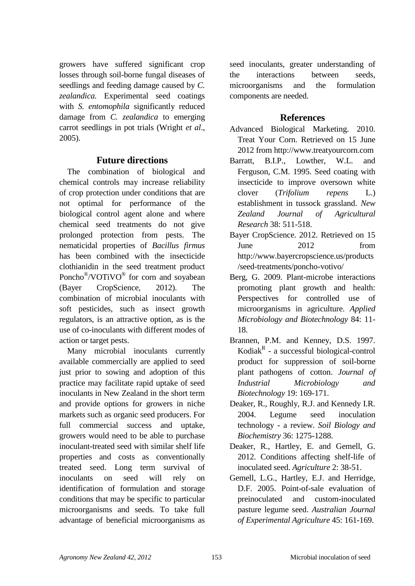growers have suffered significant crop losses through soil-borne fungal diseases of seedlings and feeding damage caused by *C. zealandica.* Experimental seed coatings with *S. entomophila* significantly reduced damage from *C. zealandica* to emerging carrot seedlings in pot trials (Wright *et al*., 2005).

## **Future directions**

The combination of biological and chemical controls may increase reliability of crop protection under conditions that are not optimal for performance of the biological control agent alone and where chemical seed treatments do not give prolonged protection from pests. The nematicidal properties of *Bacillus firmus* has been combined with the insecticide clothianidin in the seed treatment product Poncho<sup>®</sup>/VOTiVO<sup>®</sup> for corn and soyabean (Bayer CropScience, 2012). The combination of microbial inoculants with soft pesticides, such as insect growth regulators, is an attractive option, as is the use of co-inoculants with different modes of action or target pests.

Many microbial inoculants currently available commercially are applied to seed just prior to sowing and adoption of this practice may facilitate rapid uptake of seed inoculants in New Zealand in the short term and provide options for growers in niche markets such as organic seed producers. For full commercial success and uptake, growers would need to be able to purchase inoculant-treated seed with similar shelf life properties and costs as conventionally treated seed. Long term survival of inoculants on seed will rely on identification of formulation and storage conditions that may be specific to particular microorganisms and seeds. To take full advantage of beneficial microorganisms as seed inoculants, greater understanding of the interactions between seeds, microorganisms and the formulation components are needed.

# **References**

- Advanced Biological Marketing. 2010. Treat Your Corn. Retrieved on 15 June 2012 from http://www.treatyourcorn.com
- Barratt, B.I.P., Lowther, W.L. and Ferguson, C.M. 1995. Seed coating with insecticide to improve oversown white clover (*Trifolium repens* L.) establishment in tussock grassland. *New Zealand Journal of Agricultural Research* 38: 511-518.
- Bayer CropScience. 2012. Retrieved on 15 June 2012 from http://www.bayercropscience.us/products /seed-treatments/poncho-votivo/
- Berg, G. 2009. Plant-microbe interactions promoting plant growth and health: Perspectives for controlled use of microorganisms in agriculture. *Applied Microbiology and Biotechnology* 84: 11- 18.
- Brannen, P.M. and Kenney, D.S. 1997. Kodiak R - a successful biological-control product for suppression of soil-borne plant pathogens of cotton. *Journal of Industrial Microbiology and Biotechnology* 19: 169-171.
- Deaker, R., Roughly, R.J. and Kennedy I.R. 2004. Legume seed inoculation technology - a review. *Soil Biology and Biochemistry* 36: 1275-1288.
- Deaker, R., Hartley, E. and Gemell, G. 2012. Conditions affecting shelf-life of inoculated seed. *Agriculture* 2: 38-51.
- Gemell, L.G., Hartley, E.J. and Herridge, D.F. 2005. Point-of-sale evaluation of preinoculated and custom-inoculated pasture legume seed. *Australian Journal of Experimental Agriculture* 45: 161-169.